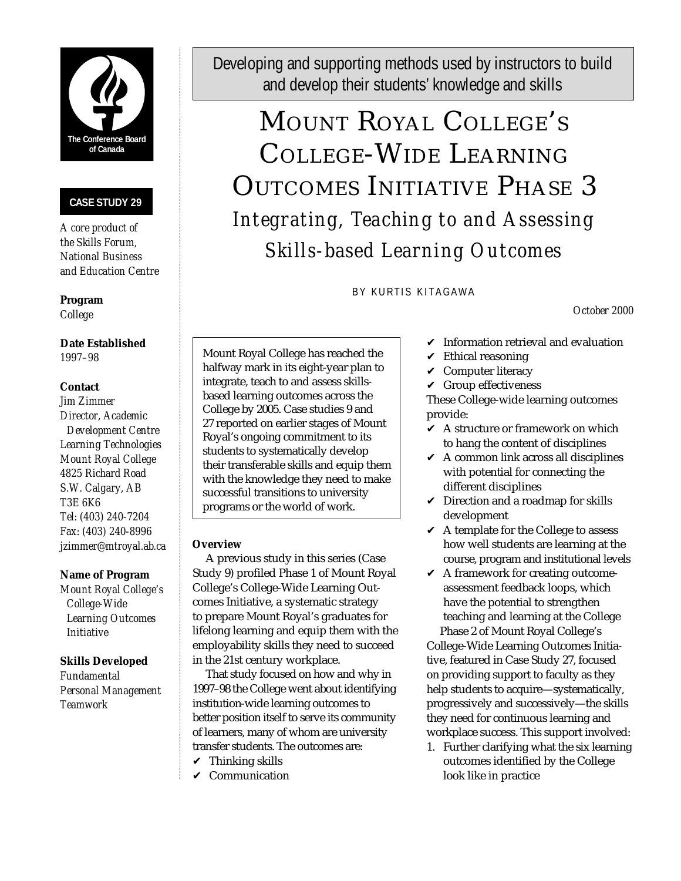

## **CASE STUDY 29**

*A core product of the Skills Forum, National Business and Education Centre*

**Program** *College*

**Date Established** *1997–98*

## **Contact**

*Jim Zimmer Director, Academic Development Centre Learning Technologies Mount Royal College 4825 Richard Road S.W. Calgary, AB T3E 6K6 Tel: (403) 240-7204 Fax: (403) 240-8996 jzimmer@mtroyal.ab.ca*

## **Name of Program**

*Mount Royal College's College-Wide Learning Outcomes Initiative*

## **Skills Developed**

*Fundamental Personal Management Teamwork*

Developing and supporting methods used by instructors to build and develop their students' knowledge and skills

# MOUNT ROYAL COLLEGE ' S COLLEGE-WIDE LEARNING OUTCOMES INITIATIVE PHASE 3 *Integrating, Teaching to and Assessing Skills-based Learning Outcomes*

BY KURTIS KITAGAWA

*October 2000*

Mount Royal College has reached the halfway mark in its eight-year plan to integrate, teach to and assess skillsbased learning outcomes across the College by 2005. Case studies 9 and 27 reported on earlier stages of Mount Royal's ongoing commitment to its students to systematically develop their transferable skills and equip them with the knowledge they need to make successful transitions to university programs or the world of work.

## **Overview**

A previous study in this series (Case Study 9) profiled Phase 1 of Mount Royal College's College-Wide Learning Outcomes Initiative, a systematic strategy to prepare Mount Royal's graduates for lifelong learning and equip them with the employability skills they need to succeed in the 21st century workplace.

That study focused on how and why in 1997–98 the College went about identifying institution-wide learning outcomes to better position itself to serve its community of learners, many of whom are university transfer students. The outcomes are:

- $\checkmark$  Thinking skills
- $\mathcal V$  Communication
- $\checkmark$  Information retrieval and evaluation
- $\checkmark$  Ethical reasoning
- $\vee$  Computer literacy
- $\checkmark$  Group effectiveness

These College-wide learning outcomes provide:

- $\vee$  A structure or framework on which to hang the content of disciplines
- $\vee$  A common link across all disciplines with potential for connecting the different disciplines
- $\checkmark$  Direction and a roadmap for skills development
- $\vee$  A template for the College to assess how well students are learning at the course, program and institutional levels
- $\blacktriangleright$  A framework for creating outcomeassessment feedback loops, which have the potential to strengthen teaching and learning at the College Phase 2 of Mount Royal College's College-Wide Learning Outcomes Initiative, featured in Case Study 27, focused on providing support to faculty as they help students to acquire—systematically, progressively and successively—the skills they need for continuous learning and workplace success. This support involved:
- 1. Further clarifying what the six learning outcomes identified by the College look like in practice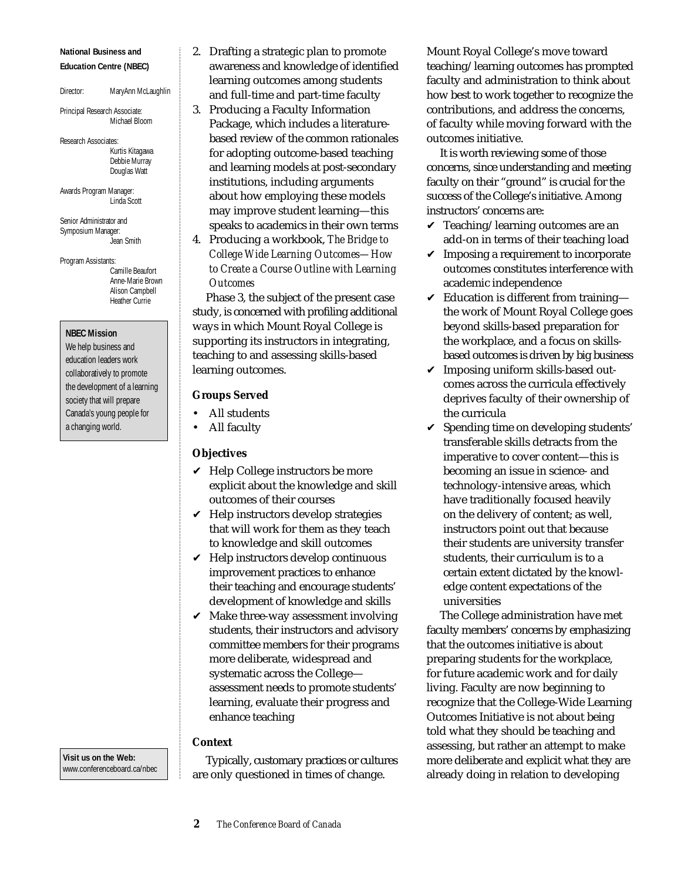#### **National Business and Education Centre (NBEC)**

Director: MaryAnn McLaughlin

Principal Research Associate: Michael Bloom

Research Associates: Kurtis Kitagawa Debbie Murray Douglas Watt

Awards Program Manager: Linda Scott

Senior Administrator and Symposium Manager: Jean Smith

Program Assistants: Camille Beaufort Anne-Marie Brown Alison Campbell Heather Currie

**NBEC Mission**

We help business and education leaders work collaboratively to promote the development of a learning society that will prepare Canada's young people for a changing world.

**Visit us on the Web:** www.conferenceboard.ca/nbec

- 2. Drafting a strategic plan to promote awareness and knowledge of identified learning outcomes among students and full-time and part-time faculty
- 3. Producing a Faculty Information Package, which includes a literaturebased review of the common rationales for adopting outcome-based teaching and learning models at post-secondary institutions, including arguments about how employing these models may improve student learning—this speaks to academics in their own terms
- 4. Producing a workbook, *The Bridge to College Wide Learning Outcomes—How to Create a Course Outline with Learning Outcomes*

Phase 3, the subject of the present case study, is concerned with profiling additional ways in which Mount Royal College is supporting its instructors in integrating, teaching to and assessing skills-based learning outcomes.

## **Groups Served**

- All students
- All faculty

## **Objectives**

- $\vee$  Help College instructors be more explicit about the knowledge and skill outcomes of their courses
- $\vee$  Help instructors develop strategies that will work for them as they teach to knowledge and skill outcomes
- $\vee$  Help instructors develop continuous improvement practices to enhance their teaching and encourage students' development of knowledge and skills
- $\mathcal V$  Make three-way assessment involving students, their instructors and advisory committee members for their programs more deliberate, widespread and systematic across the College assessment needs to promote students' learning, evaluate their progress and enhance teaching

## **Context**

Typically, customary practices or cultures are only questioned in times of change.

Mount Royal College's move toward teaching/learning outcomes has prompted faculty and administration to think about how best to work together to recognize the contributions, and address the concerns, of faculty while moving forward with the outcomes initiative.

It is worth reviewing some of those concerns, since understanding and meeting faculty on their "ground" is crucial for the success of the College's initiative. Among instructors' concerns are:

- $\checkmark$  Teaching/learning outcomes are an add-on in terms of their teaching load
- $\checkmark$  Imposing a requirement to incorporate outcomes constitutes interference with academic independence
- $\checkmark$  Education is different from trainingthe work of Mount Royal College goes beyond skills-based preparation for the workplace, and a focus on skillsbased outcomes is driven by big business
- $\checkmark$  Imposing uniform skills-based outcomes across the curricula effectively deprives faculty of their ownership of the curricula
- $\checkmark$  Spending time on developing students' transferable skills detracts from the imperative to cover content—this is becoming an issue in science- and technology-intensive areas, which have traditionally focused heavily on the delivery of content; as well, instructors point out that because their students are university transfer students, their curriculum is to a certain extent dictated by the knowledge content expectations of the universities

The College administration have met faculty members' concerns by emphasizing that the outcomes initiative is about preparing students for the workplace, for future academic work and for daily living. Faculty are now beginning to recognize that the College-Wide Learning Outcomes Initiative is not about being told what they should be teaching and assessing, but rather an attempt to make more deliberate and explicit what they are already doing in relation to developing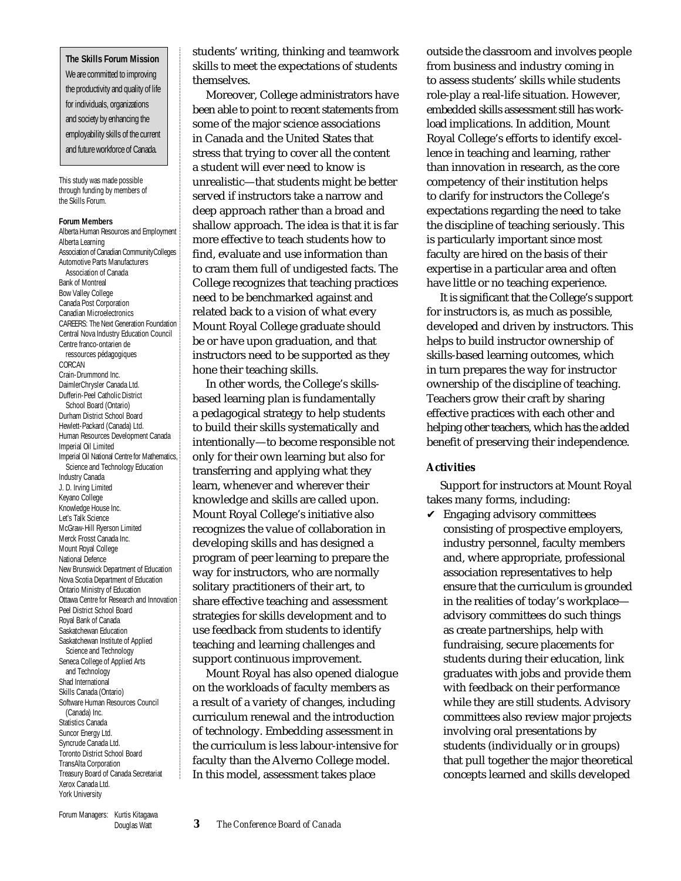**The Skills Forum Mission** We are committed to improving the productivity and quality of life for individuals, organizations and society by enhancing the employability skills of the current and future workforce of Canada.

This study was made possible through funding by members of the Skills Forum.

#### **Forum Members**

Alberta Human Resources and Employment Alberta Learning Association of Canadian CommunityColleges Automotive Parts Manufacturers Association of Canada Bank of Montreal Bow Valley College Canada Post Corporation Canadian Microelectronics CAREERS: The Next Generation Foundation Central Nova Industry Education Council Centre franco-ontarien de ressources pédagogiques CORCAN Crain-Drummond Inc. DaimlerChrysler Canada Ltd. Dufferin-Peel Catholic District School Board (Ontario) Durham District School Board Hewlett-Packard (Canada) Ltd. Human Resources Development Canada Imperial Oil Limited Imperial Oil National Centre for Mathematics, Science and Technology Education Industry Canada J. D. Irving Limited Keyano College Knowledge House Inc. Let's Talk Science McGraw-Hill Ryerson Limited Merck Frosst Canada Inc. Mount Royal College National Defence New Brunswick Department of Education Nova Scotia Department of Education Ontario Ministry of Education Ottawa Centre for Research and Innovation Peel District School Board Royal Bank of Canada Saskatchewan Education Saskatchewan Institute of Applied Science and Technology Seneca College of Applied Arts and Technology Shad International Skills Canada (Ontario) Software Human Resources Council (Canada) Inc. Statistics Canada Suncor Energy Ltd. Syncrude Canada Ltd. Toronto District School Board TransAlta Corporation Treasury Board of Canada Secretariat Xerox Canada Ltd. York University

students' writing, thinking and teamwork skills to meet the expectations of students themselves.

Moreover, College administrators have been able to point to recent statements from some of the major science associations in Canada and the United States that stress that trying to cover all the content a student will ever need to know is unrealistic—that students might be better served if instructors take a narrow and deep approach rather than a broad and shallow approach. The idea is that it is far more effective to teach students how to find, evaluate and use information than to cram them full of undigested facts. The College recognizes that teaching practices need to be benchmarked against and related back to a vision of what every Mount Royal College graduate should be or have upon graduation, and that instructors need to be supported as they hone their teaching skills.

In other words, the College's skillsbased learning plan is fundamentally a pedagogical strategy to help students to build their skills systematically and intentionally—to become responsible not only for their own learning but also for transferring and applying what they learn, whenever and wherever their knowledge and skills are called upon. Mount Royal College's initiative also recognizes the value of collaboration in developing skills and has designed a program of peer learning to prepare the way for instructors, who are normally solitary practitioners of their art, to share effective teaching and assessment strategies for skills development and to use feedback from students to identify teaching and learning challenges and support continuous improvement.

Mount Royal has also opened dialogue on the workloads of faculty members as a result of a variety of changes, including curriculum renewal and the introduction of technology. Embedding assessment in the curriculum is less labour-intensive for faculty than the Alverno College model. In this model, assessment takes place

outside the classroom and involves people from business and industry coming in to assess students' skills while students role-play a real-life situation. However, embedded skills assessment still has workload implications. In addition, Mount Royal College's efforts to identify excellence in teaching and learning, rather than innovation in research, as the core competency of their institution helps to clarify for instructors the College's expectations regarding the need to take the discipline of teaching seriously. This is particularly important since most faculty are hired on the basis of their expertise in a particular area and often have little or no teaching experience.

It is significant that the College's support for instructors is, as much as possible, developed and driven by instructors. This helps to build instructor ownership of skills-based learning outcomes, which in turn prepares the way for instructor ownership of the discipline of teaching. Teachers grow their craft by sharing effective practices with each other and helping other teachers, which has the added benefit of preserving their independence.

#### **Activities**

Support for instructors at Mount Royal takes many forms, including:

 $\vee$  Engaging advisory committees consisting of prospective employers, industry personnel, faculty members and, where appropriate, professional association representatives to help ensure that the curriculum is grounded in the realities of today's workplace advisory committees do such things as create partnerships, help with fundraising, secure placements for students during their education, link graduates with jobs and provide them with feedback on their performance while they are still students. Advisory committees also review major projects involving oral presentations by students (individually or in groups) that pull together the major theoretical concepts learned and skills developed

Forum Managers: Kurtis Kitagawa Douglas Watt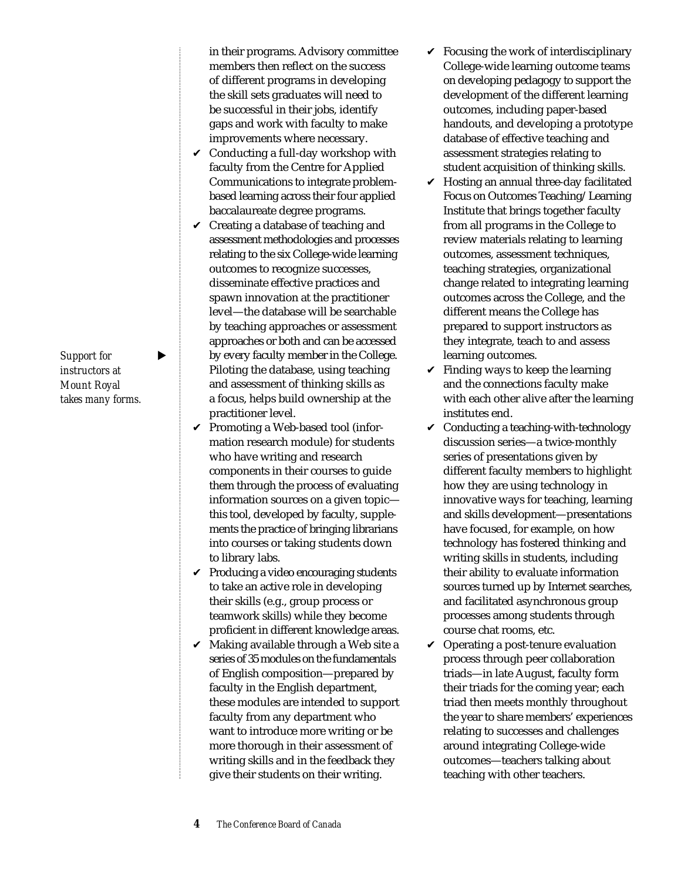*Support for instructors at Mount Royal takes many forms.*

- in their programs. Advisory committee members then reflect on the success of different programs in developing the skill sets graduates will need to be successful in their jobs, identify gaps and work with faculty to make improvements where necessary.
- $\vee$  Conducting a full-day workshop with faculty from the Centre for Applied Communications to integrate problembased learning across their four applied baccalaureate degree programs.
- $\vee$  Creating a database of teaching and assessment methodologies and processes relating to the six College-wide learning outcomes to recognize successes, disseminate effective practices and spawn innovation at the practitioner level—the database will be searchable by teaching approaches or assessment approaches or both and can be accessed by every faculty member in the College. Piloting the database, using teaching and assessment of thinking skills as a focus, helps build ownership at the practitioner level.
- $\vee$  Promoting a Web-based tool (information research module) for students who have writing and research components in their courses to guide them through the process of evaluating information sources on a given topic this tool, developed by faculty, supplements the practice of bringing librarians into courses or taking students down to library labs.
- $\vee$  Producing a video encouraging students to take an active role in developing their skills (e.g., group process or teamwork skills) while they become proficient in different knowledge areas.
- $\vee$  Making available through a Web site a series of 35 modules on the fundamentals of English composition—prepared by faculty in the English department, these modules are intended to support faculty from any department who want to introduce more writing or be more thorough in their assessment of writing skills and in the feedback they give their students on their writing.
- $\checkmark$  Focusing the work of interdisciplinary College-wide learning outcome teams on developing pedagogy to support the development of the different learning outcomes, including paper-based handouts, and developing a prototype database of effective teaching and assessment strategies relating to student acquisition of thinking skills.
- $\vee$  Hosting an annual three-day facilitated Focus on Outcomes Teaching/Learning Institute that brings together faculty from all programs in the College to review materials relating to learning outcomes, assessment techniques, teaching strategies, organizational change related to integrating learning outcomes across the College, and the different means the College has prepared to support instructors as they integrate, teach to and assess learning outcomes.
- $\checkmark$  Finding ways to keep the learning and the connections faculty make with each other alive after the learning institutes end.
- $\vee$  Conducting a teaching-with-technology discussion series—a twice-monthly series of presentations given by different faculty members to highlight how they are using technology in innovative ways for teaching, learning and skills development—presentations have focused, for example, on how technology has fostered thinking and writing skills in students, including their ability to evaluate information sources turned up by Internet searches, and facilitated asynchronous group processes among students through course chat rooms, etc.
- $\vee$  Operating a post-tenure evaluation process through peer collaboration triads—in late August, faculty form their triads for the coming year; each triad then meets monthly throughout the year to share members' experiences relating to successes and challenges around integrating College-wide outcomes—teachers talking about teaching with other teachers.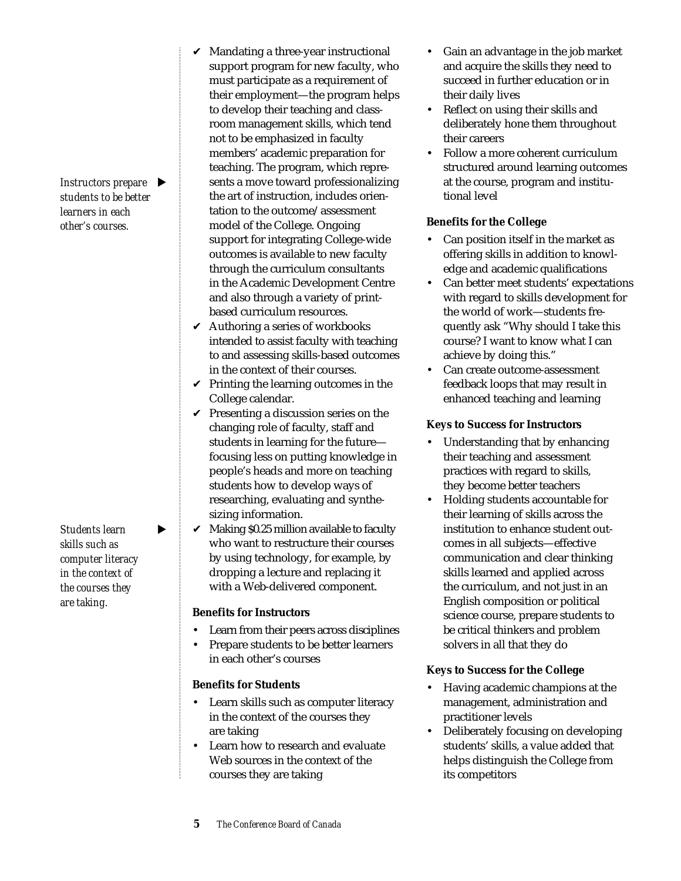*Instructors prepare students to be better learners in each other's courses.*

*Students learn skills such as computer literacy in the context of the courses they are taking.*

- $\vee$  Mandating a three-year instructional support program for new faculty, who must participate as a requirement of their employment—the program helps to develop their teaching and classroom management skills, which tend not to be emphasized in faculty members' academic preparation for teaching. The program, which represents a move toward professionalizing the art of instruction, includes orientation to the outcome/assessment model of the College. Ongoing support for integrating College-wide outcomes is available to new faculty through the curriculum consultants in the Academic Development Centre and also through a variety of printbased curriculum resources.
- $\vee$  Authoring a series of workbooks intended to assist faculty with teaching to and assessing skills-based outcomes in the context of their courses.
- $\checkmark$  Printing the learning outcomes in the College calendar.
- $\checkmark$  Presenting a discussion series on the changing role of faculty, staff and students in learning for the future focusing less on putting knowledge in people's heads and more on teaching students how to develop ways of researching, evaluating and synthesizing information.
- $\mathcal V$  Making \$0.25 million available to faculty who want to restructure their courses by using technology, for example, by dropping a lecture and replacing it with a Web-delivered component.

## **Benefits for Instructors**

- Learn from their peers across disciplines
- Prepare students to be better learners in each other's courses

## **Benefits for Students**

- Learn skills such as computer literacy in the context of the courses they are taking
- Learn how to research and evaluate Web sources in the context of the courses they are taking
- Gain an advantage in the job market and acquire the skills they need to succeed in further education or in their daily lives
- Reflect on using their skills and deliberately hone them throughout their careers
- Follow a more coherent curriculum structured around learning outcomes at the course, program and institutional level

## **Benefits for the College**

- Can position itself in the market as offering skills in addition to knowledge and academic qualifications
- Can better meet students' expectations with regard to skills development for the world of work—students frequently ask "Why should I take this course? I want to know what I can achieve by doing this."
- Can create outcome-assessment feedback loops that may result in enhanced teaching and learning

## **Keys to Success for Instructors**

- Understanding that by enhancing their teaching and assessment practices with regard to skills, they become better teachers
- Holding students accountable for their learning of skills across the institution to enhance student outcomes in all subjects—effective communication and clear thinking skills learned and applied across the curriculum, and not just in an English composition or political science course, prepare students to be critical thinkers and problem solvers in all that they do

## **Keys to Success for the College**

- Having academic champions at the management, administration and practitioner levels
- Deliberately focusing on developing students' skills, a value added that helps distinguish the College from its competitors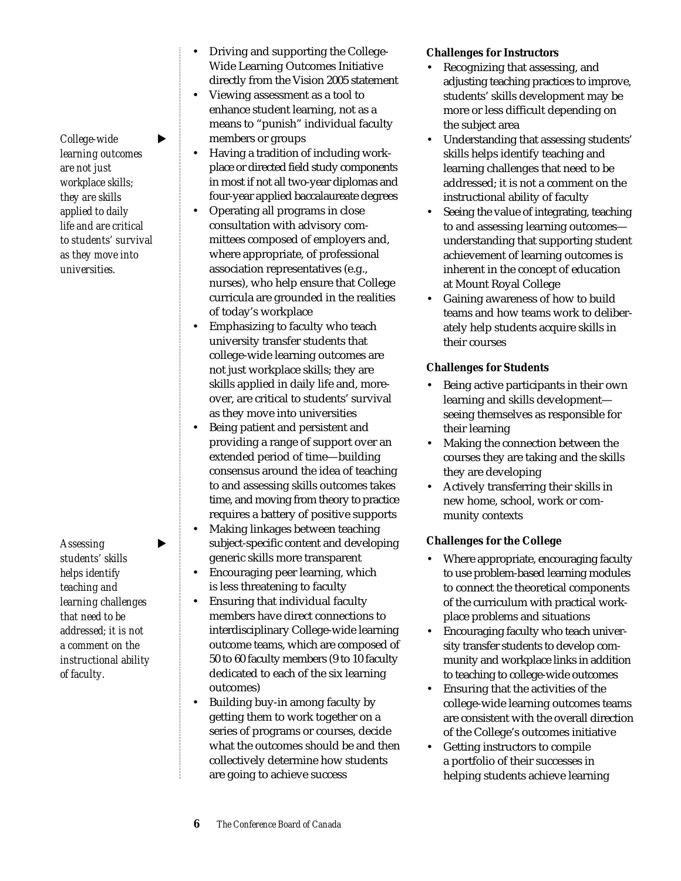$\text{Collective}$   $\blacktriangleright$ *learning outcomes are not just workplace skills; they are skills applied to daily life and are critical to students' survival as they move into universities.*

Assessing  $\blacktriangleright$ *students' skills helps identify teaching and learning challenges that need to be addressed; it is not a comment on the instructional ability of faculty.*

- Driving and supporting the College-Wide Learning Outcomes Initiative directly from the Vision 2005 statement
- Viewing assessment as a tool to enhance student learning, not as a means to "punish" individual faculty members or groups
- Having a tradition of including workplace or directed field study components in most if not all two-year diplomas and four-year applied baccalaureate degrees
- Operating all programs in close consultation with advisory committees composed of employers and, where appropriate, of professional association representatives (e.g., nurses), who help ensure that College curricula are grounded in the realities of today's workplace
- Emphasizing to faculty who teach university transfer students that college-wide learning outcomes are not just workplace skills; they are skills applied in daily life and, moreover, are critical to students' survival as they move into universities
- Being patient and persistent and providing a range of support over an extended period of time—building consensus around the idea of teaching to and assessing skills outcomes takes time, and moving from theory to practice requires a battery of positive supports
- Making linkages between teaching subject-specific content and developing generic skills more transparent
- Encouraging peer learning, which is less threatening to faculty
- Ensuring that individual faculty members have direct connections to interdisciplinary College-wide learning outcome teams, which are composed of 50 to 60 faculty members (9 to 10 faculty dedicated to each of the six learning outcomes)
- Building buy-in among faculty by getting them to work together on a series of programs or courses, decide what the outcomes should be and then collectively determine how students are going to achieve success

# **Challenges for Instructors**

- Recognizing that assessing, and adjusting teaching practices to improve, students' skills development may be more or less difficult depending on the subject area
- Understanding that assessing students' skills helps identify teaching and learning challenges that need to be addressed; it is not a comment on the instructional ability of faculty
- Seeing the value of integrating, teaching to and assessing learning outcomes understanding that supporting student achievement of learning outcomes is inherent in the concept of education at Mount Royal College
- Gaining awareness of how to build teams and how teams work to deliberately help students acquire skills in their courses

## **Challenges for Students**

- Being active participants in their own learning and skills development seeing themselves as responsible for their learning
- Making the connection between the courses they are taking and the skills they are developing
- Actively transferring their skills in new home, school, work or community contexts

# **Challenges for the College**

- Where appropriate, encouraging faculty to use problem-based learning modules to connect the theoretical components of the curriculum with practical workplace problems and situations
- Encouraging faculty who teach university transfer students to develop community and workplace links in addition to teaching to college-wide outcomes
- Ensuring that the activities of the college-wide learning outcomes teams are consistent with the overall direction of the College's outcomes initiative
- Getting instructors to compile a portfolio of their successes in helping students achieve learning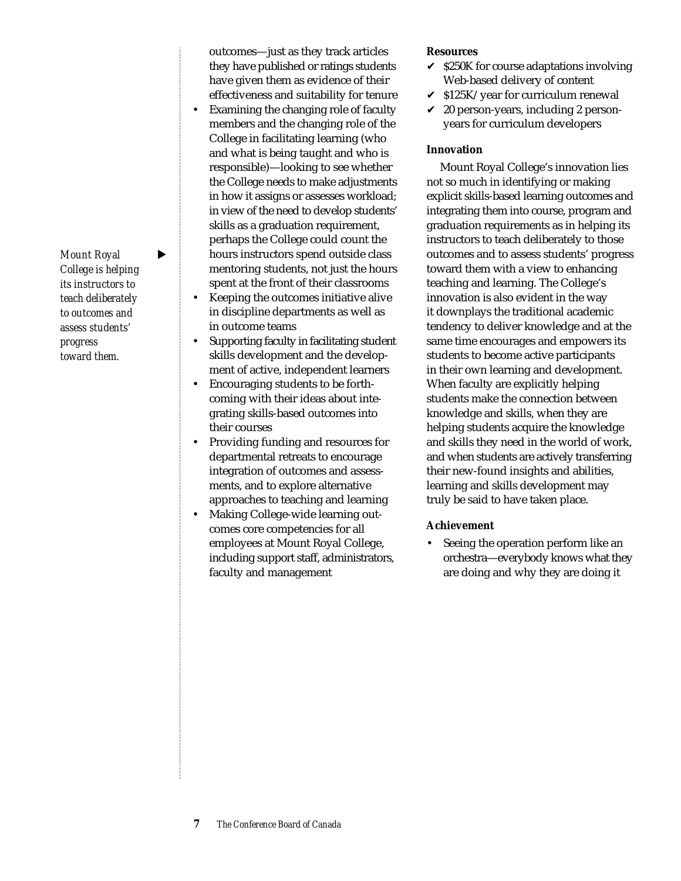*Mount Royal* ▶ *College is helping its instructors to teach deliberately to outcomes and assess students' progress toward them.*

outcomes—just as they track articles they have published or ratings students have given them as evidence of their effectiveness and suitability for tenure

- Examining the changing role of faculty members and the changing role of the College in facilitating learning (who and what is being taught and who is responsible)—looking to see whether the College needs to make adjustments in how it assigns or assesses workload; in view of the need to develop students' skills as a graduation requirement, perhaps the College could count the hours instructors spend outside class mentoring students, not just the hours spent at the front of their classrooms
- Keeping the outcomes initiative alive in discipline departments as well as in outcome teams
- Supporting faculty in facilitating student skills development and the development of active, independent learners
- Encouraging students to be forthcoming with their ideas about integrating skills-based outcomes into their courses
- Providing funding and resources for departmental retreats to encourage integration of outcomes and assessments, and to explore alternative approaches to teaching and learning
- Making College-wide learning outcomes core competencies for all employees at Mount Royal College, including support staff, administrators, faculty and management

#### **Resources**

- $\checkmark$  \$250K for course adaptations involving Web-based delivery of content
- $\checkmark$  \$125K/year for curriculum renewal
- $\angle$  20 person-years, including 2 personyears for curriculum developers

#### **Innovation**

Mount Royal College's innovation lies not so much in identifying or making explicit skills-based learning outcomes and integrating them into course, program and graduation requirements as in helping its instructors to teach deliberately to those outcomes and to assess students' progress toward them with a view to enhancing teaching and learning. The College's innovation is also evident in the way it downplays the traditional academic tendency to deliver knowledge and at the same time encourages and empowers its students to become active participants in their own learning and development. When faculty are explicitly helping students make the connection between knowledge and skills, when they are helping students acquire the knowledge and skills they need in the world of work, and when students are actively transferring their new-found insights and abilities, learning and skills development may truly be said to have taken place.

#### **Achievement**

Seeing the operation perform like an orchestra—everybody knows what they are doing and why they are doing it